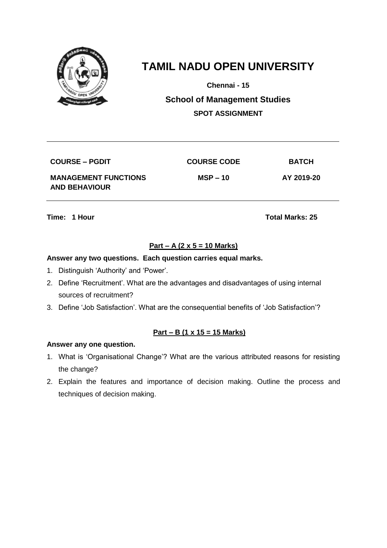

**Chennai - 15**

**School of Management Studies SPOT ASSIGNMENT**

| <b>COURSE – PGDIT</b>                               | <b>COURSE CODE</b> | <b>BATCH</b> |
|-----------------------------------------------------|--------------------|--------------|
| <b>MANAGEMENT FUNCTIONS</b><br><b>AND BEHAVIOUR</b> | $MSP - 10$         | AY 2019-20   |

**Time: 1 Hour Total Marks: 25** 

# **Part – A (2 x 5 = 10 Marks)**

### **Answer any two questions. Each question carries equal marks.**

- 1. Distinguish 'Authority' and 'Power'.
- 2. Define 'Recruitment'. What are the advantages and disadvantages of using internal sources of recruitment?
- 3. Define 'Job Satisfaction'. What are the consequential benefits of 'Job Satisfaction'?

### **Part – B (1 x 15 = 15 Marks)**

- 1. What is 'Organisational Change'? What are the various attributed reasons for resisting the change?
- 2. Explain the features and importance of decision making. Outline the process and techniques of decision making.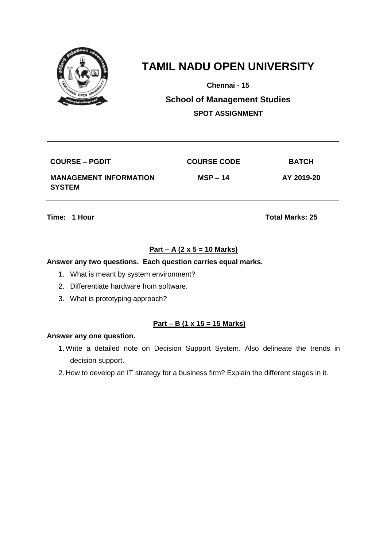

**Chennai - 15**

**School of Management Studies SPOT ASSIGNMENT**

| <b>COURSE – PGDIT</b>                          | <b>COURSE CODE</b> | <b>BATCH</b> |
|------------------------------------------------|--------------------|--------------|
| <b>MANAGEMENT INFORMATION</b><br><b>SYSTEM</b> | $MSP - 14$         | AY 2019-20   |

**Time: 1 Hour Total Marks: 25** 

## **Part – A (2 x 5 = 10 Marks)**

#### **Answer any two questions. Each question carries equal marks.**

- 1. What is meant by system environment?
- 2. Differentiate hardware from software.
- 3. What is prototyping approach?

#### **Part – B (1 x 15 = 15 Marks)**

- 1.Write a detailed note on Decision Support System. Also delineate the trends in decision support.
- 2. How to develop an IT strategy for a business firm? Explain the different stages in it.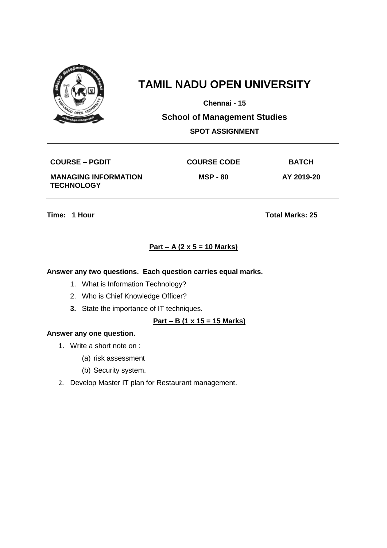

**Chennai - 15**

**School of Management Studies**

## **SPOT ASSIGNMENT**

**COURSE – PGDIT COURSE CODE BATCH**

**MANAGING INFORMATION TECHNOLOGY**

**MSP - 80 AY 2019-20**

**Time: 1 Hour Total Marks: 25** 

# **Part – A (2 x 5 = 10 Marks)**

### **Answer any two questions. Each question carries equal marks.**

- 1. What is Information Technology?
- 2. Who is Chief Knowledge Officer?
- **3.** State the importance of IT techniques.

### **Part – B (1 x 15 = 15 Marks)**

- 1. Write a short note on :
	- (a) risk assessment
	- (b) Security system.
- 2. Develop Master IT plan for Restaurant management.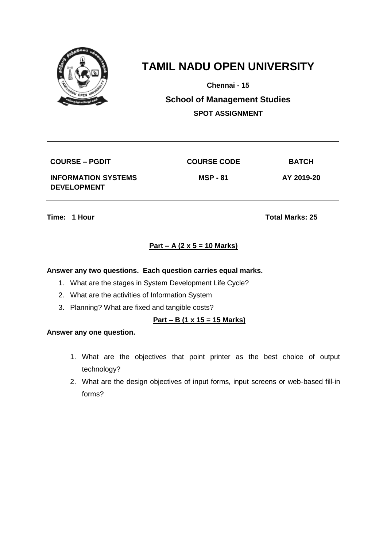

**Chennai - 15**

**School of Management Studies SPOT ASSIGNMENT**

**COURSE – PGDIT COURSE CODE BATCH INFORMATION SYSTEMS DEVELOPMENT**

**MSP - 81 AY 2019-20**

**Time: 1 Hour Total Marks: 25** 

# **Part – A (2 x 5 = 10 Marks)**

### **Answer any two questions. Each question carries equal marks.**

- 1. What are the stages in System Development Life Cycle?
- 2. What are the activities of Information System
- 3. Planning? What are fixed and tangible costs?

### **Part – B (1 x 15 = 15 Marks)**

- 1. What are the objectives that point printer as the best choice of output technology?
- 2. What are the design objectives of input forms, input screens or web-based fill-in forms?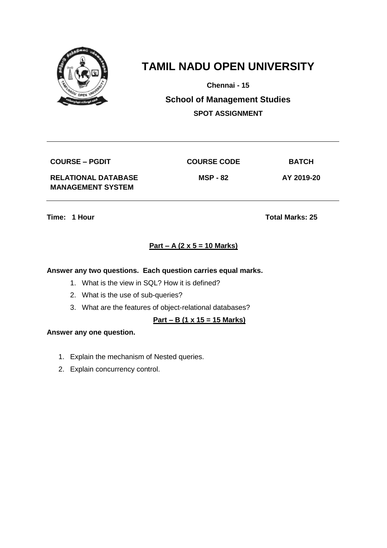

**Chennai - 15**

**School of Management Studies SPOT ASSIGNMENT**

**COURSE – PGDIT COURSE CODE BATCH**

**RELATIONAL DATABASE MANAGEMENT SYSTEM**

**MSP - 82 AY 2019-20**

**Time: 1 Hour Total Marks: 25** 

# **Part – A (2 x 5 = 10 Marks)**

### **Answer any two questions. Each question carries equal marks.**

- 1. What is the view in SQL? How it is defined?
- 2. What is the use of sub-queries?
- 3. What are the features of object-relational databases?

### **Part – B (1 x 15 = 15 Marks)**

- 1. Explain the mechanism of Nested queries.
- 2. Explain concurrency control.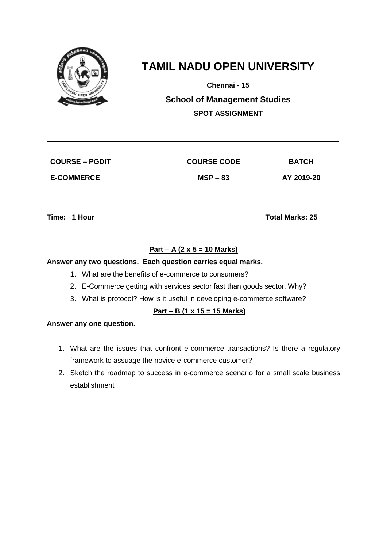

**Chennai - 15**

**School of Management Studies SPOT ASSIGNMENT**

| <b>COURSE – PGDIT</b> |  |
|-----------------------|--|
| <b>E-COMMERCE</b>     |  |

 $\begin{array}{ccc} \text{COUNSE} & \text{CODE} \end{array}$ 

**E-COMMERCE MSP – 83 AY 2019-20**

**Time: 1 Hour Total Marks: 25** 

# **Part – A (2 x 5 = 10 Marks)**

### **Answer any two questions. Each question carries equal marks.**

- 1. What are the benefits of e-commerce to consumers?
- 2. E-Commerce getting with services sector fast than goods sector. Why?
- 3. What is protocol? How is it useful in developing e-commerce software?

## **Part – B (1 x 15 = 15 Marks)**

- 1. What are the issues that confront e-commerce transactions? Is there a regulatory framework to assuage the novice e-commerce customer?
- 2. Sketch the roadmap to success in e-commerce scenario for a small scale business establishment